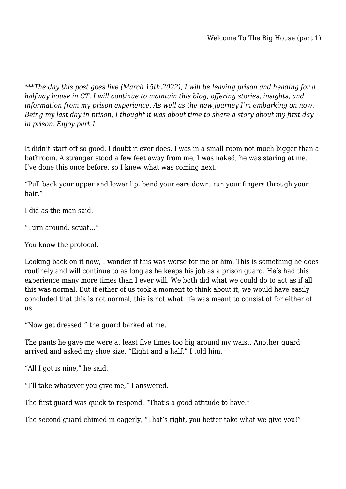*\*\*\*The day this post goes live (March 15th,2022), I will be leaving prison and heading for a halfway house in CT. I will continue to maintain this blog, offering stories, insights, and information from my prison experience. As well as the new journey I'm embarking on now. Being my last day in prison, I thought it was about time to share a story about my first day in prison. Enjoy part 1.*

It didn't start off so good. I doubt it ever does. I was in a small room not much bigger than a bathroom. A stranger stood a few feet away from me, I was naked, he was staring at me. I've done this once before, so I knew what was coming next.

"Pull back your upper and lower lip, bend your ears down, run your fingers through your hair."

I did as the man said.

"Turn around, squat…"

You know the protocol.

Looking back on it now, I wonder if this was worse for me or him. This is something he does routinely and will continue to as long as he keeps his job as a prison guard. He's had this experience many more times than I ever will. We both did what we could do to act as if all this was normal. But if either of us took a moment to think about it, we would have easily concluded that this is not normal, this is not what life was meant to consist of for either of us.

"Now get dressed!" the guard barked at me.

The pants he gave me were at least five times too big around my waist. Another guard arrived and asked my shoe size. "Eight and a half," I told him.

"All I got is nine," he said.

"I'll take whatever you give me," I answered.

The first guard was quick to respond, "That's a good attitude to have."

The second guard chimed in eagerly, "That's right, you better take what we give you!"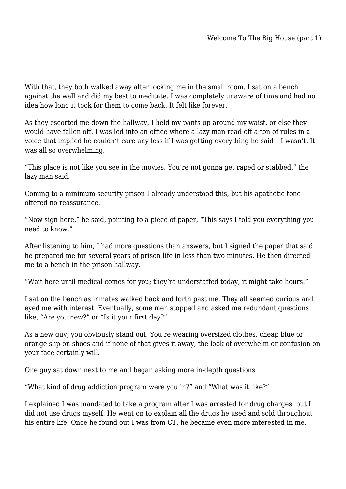With that, they both walked away after locking me in the small room. I sat on a bench against the wall and did my best to meditate. I was completely unaware of time and had no idea how long it took for them to come back. It felt like forever.

As they escorted me down the hallway, I held my pants up around my waist, or else they would have fallen off. I was led into an office where a lazy man read off a ton of rules in a voice that implied he couldn't care any less if I was getting everything he said – I wasn't. It was all so overwhelming.

"This place is not like you see in the movies. You're not gonna get raped or stabbed," the lazy man said.

Coming to a minimum-security prison I already understood this, but his apathetic tone offered no reassurance.

"Now sign here," he said, pointing to a piece of paper, "This says I told you everything you need to know."

After listening to him, I had more questions than answers, but I signed the paper that said he prepared me for several years of prison life in less than two minutes. He then directed me to a bench in the prison hallway.

"Wait here until medical comes for you; they're understaffed today, it might take hours."

I sat on the bench as inmates walked back and forth past me. They all seemed curious and eyed me with interest. Eventually, some men stopped and asked me redundant questions like, "Are you new?" or "Is it your first day?"

As a new guy, you obviously stand out. You're wearing oversized clothes, cheap blue or orange slip-on shoes and if none of that gives it away, the look of overwhelm or confusion on your face certainly will.

One guy sat down next to me and began asking more in-depth questions.

"What kind of drug addiction program were you in?" and "What was it like?"

I explained I was mandated to take a program after I was arrested for drug charges, but I did not use drugs myself. He went on to explain all the drugs he used and sold throughout his entire life. Once he found out I was from CT, he became even more interested in me.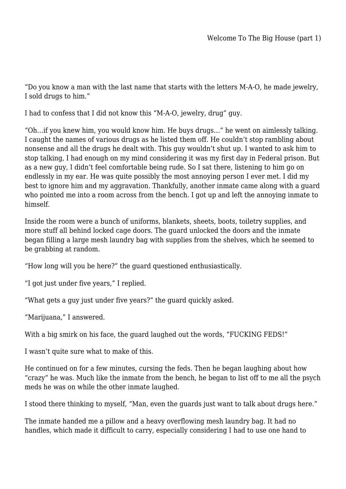"Do you know a man with the last name that starts with the letters M-A-O, he made jewelry, I sold drugs to him."

I had to confess that I did not know this "M-A-O, jewelry, drug" guy.

"Oh…if you knew him, you would know him. He buys drugs…" he went on aimlessly talking. I caught the names of various drugs as he listed them off. He couldn't stop rambling about nonsense and all the drugs he dealt with. This guy wouldn't shut up. I wanted to ask him to stop talking, I had enough on my mind considering it was my first day in Federal prison. But as a new guy, I didn't feel comfortable being rude. So I sat there, listening to him go on endlessly in my ear. He was quite possibly the most annoying person I ever met. I did my best to ignore him and my aggravation. Thankfully, another inmate came along with a guard who pointed me into a room across from the bench. I got up and left the annoying inmate to himself.

Inside the room were a bunch of uniforms, blankets, sheets, boots, toiletry supplies, and more stuff all behind locked cage doors. The guard unlocked the doors and the inmate began filling a large mesh laundry bag with supplies from the shelves, which he seemed to be grabbing at random.

"How long will you be here?" the guard questioned enthusiastically.

"I got just under five years," I replied.

"What gets a guy just under five years?" the guard quickly asked.

"Marijuana," I answered.

With a big smirk on his face, the guard laughed out the words, "FUCKING FEDS!"

I wasn't quite sure what to make of this.

He continued on for a few minutes, cursing the feds. Then he began laughing about how "crazy" he was. Much like the inmate from the bench, he began to list off to me all the psych meds he was on while the other inmate laughed.

I stood there thinking to myself, "Man, even the guards just want to talk about drugs here."

The inmate handed me a pillow and a heavy overflowing mesh laundry bag. It had no handles, which made it difficult to carry, especially considering I had to use one hand to